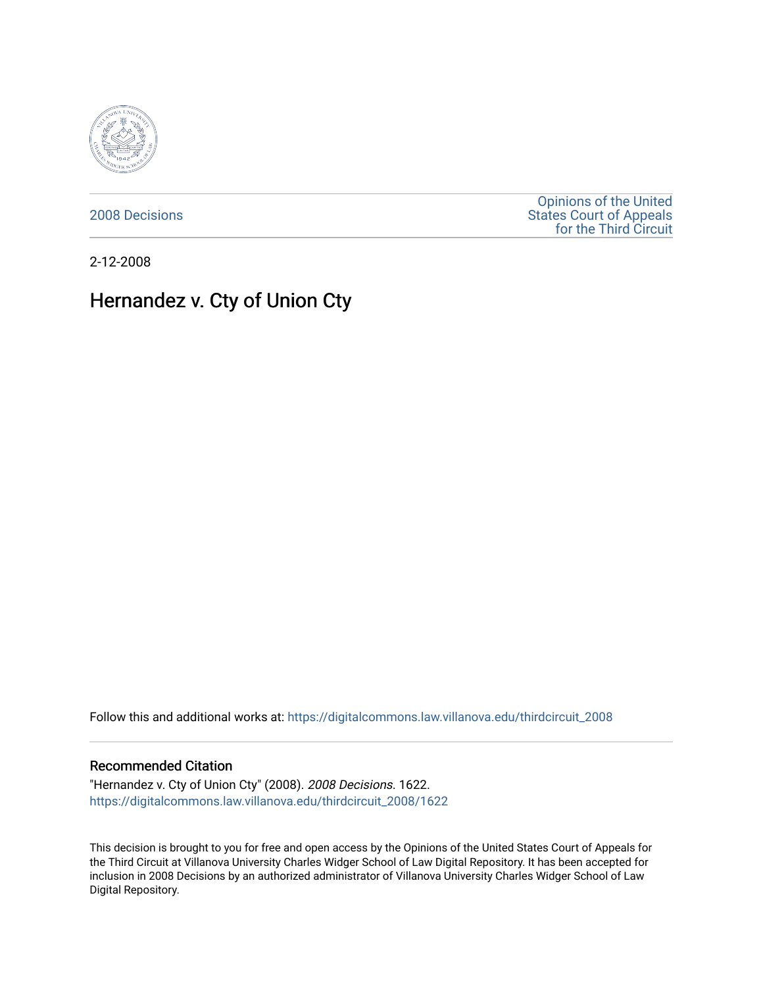

[2008 Decisions](https://digitalcommons.law.villanova.edu/thirdcircuit_2008)

[Opinions of the United](https://digitalcommons.law.villanova.edu/thirdcircuit)  [States Court of Appeals](https://digitalcommons.law.villanova.edu/thirdcircuit)  [for the Third Circuit](https://digitalcommons.law.villanova.edu/thirdcircuit) 

2-12-2008

# Hernandez v. Cty of Union Cty

Follow this and additional works at: [https://digitalcommons.law.villanova.edu/thirdcircuit\\_2008](https://digitalcommons.law.villanova.edu/thirdcircuit_2008?utm_source=digitalcommons.law.villanova.edu%2Fthirdcircuit_2008%2F1622&utm_medium=PDF&utm_campaign=PDFCoverPages) 

# Recommended Citation

"Hernandez v. Cty of Union Cty" (2008). 2008 Decisions. 1622. [https://digitalcommons.law.villanova.edu/thirdcircuit\\_2008/1622](https://digitalcommons.law.villanova.edu/thirdcircuit_2008/1622?utm_source=digitalcommons.law.villanova.edu%2Fthirdcircuit_2008%2F1622&utm_medium=PDF&utm_campaign=PDFCoverPages) 

This decision is brought to you for free and open access by the Opinions of the United States Court of Appeals for the Third Circuit at Villanova University Charles Widger School of Law Digital Repository. It has been accepted for inclusion in 2008 Decisions by an authorized administrator of Villanova University Charles Widger School of Law Digital Repository.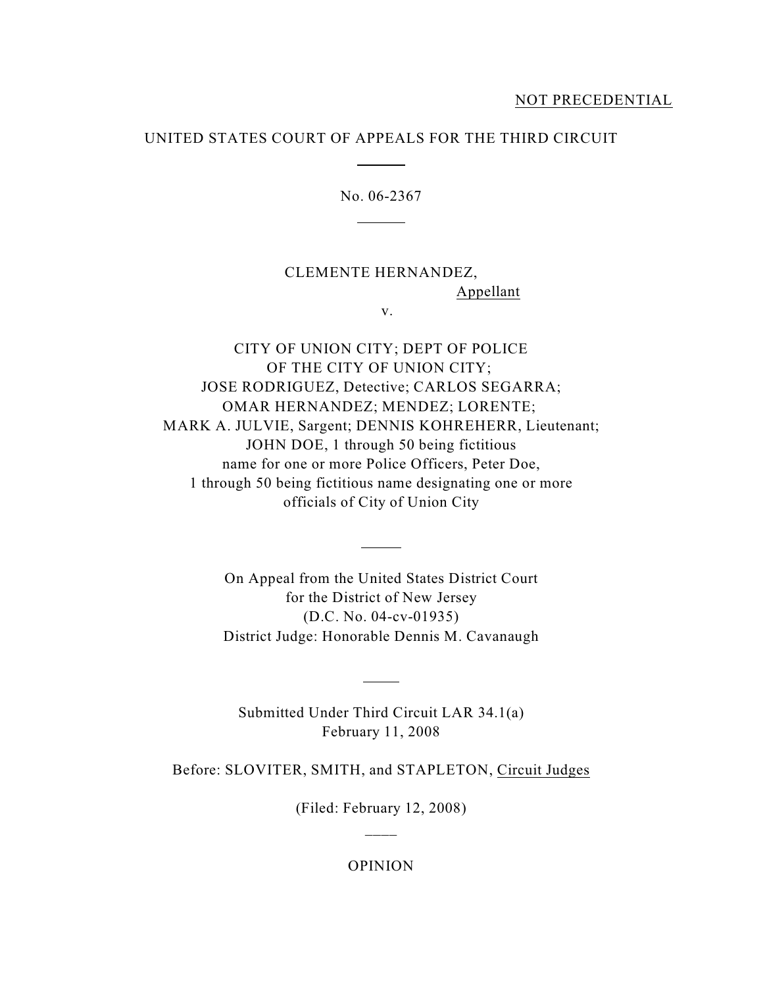# UNITED STATES COURT OF APPEALS FOR THE THIRD CIRCUIT

 $\overline{a}$ 

 $\overline{a}$ 

No. 06-2367

# CLEMENTE HERNANDEZ, Appellant

v.

CITY OF UNION CITY; DEPT OF POLICE OF THE CITY OF UNION CITY; JOSE RODRIGUEZ, Detective; CARLOS SEGARRA; OMAR HERNANDEZ; MENDEZ; LORENTE; MARK A. JULVIE, Sargent; DENNIS KOHREHERR, Lieutenant; JOHN DOE, 1 through 50 being fictitious name for one or more Police Officers, Peter Doe, 1 through 50 being fictitious name designating one or more officials of City of Union City

> On Appeal from the United States District Court for the District of New Jersey (D.C. No. 04-cv-01935) District Judge: Honorable Dennis M. Cavanaugh

 $\overline{a}$ 

Submitted Under Third Circuit LAR 34.1(a) February 11, 2008

 $\overline{a}$ 

Before: SLOVITER, SMITH, and STAPLETON, Circuit Judges

(Filed: February 12, 2008)  $\overline{\phantom{a}}$ 

OPINION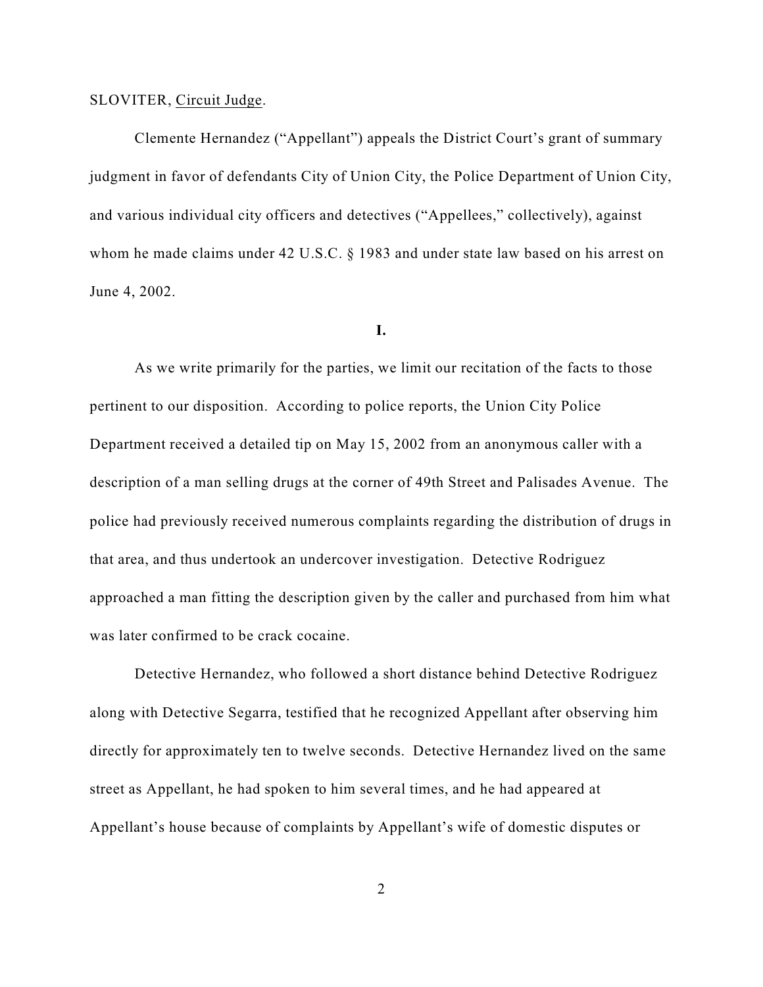#### SLOVITER, Circuit Judge.

Clemente Hernandez ("Appellant") appeals the District Court's grant of summary judgment in favor of defendants City of Union City, the Police Department of Union City, and various individual city officers and detectives ("Appellees," collectively), against whom he made claims under 42 U.S.C. § 1983 and under state law based on his arrest on June 4, 2002.

# **I.**

As we write primarily for the parties, we limit our recitation of the facts to those pertinent to our disposition. According to police reports, the Union City Police Department received a detailed tip on May 15, 2002 from an anonymous caller with a description of a man selling drugs at the corner of 49th Street and Palisades Avenue. The police had previously received numerous complaints regarding the distribution of drugs in that area, and thus undertook an undercover investigation. Detective Rodriguez approached a man fitting the description given by the caller and purchased from him what was later confirmed to be crack cocaine.

Detective Hernandez, who followed a short distance behind Detective Rodriguez along with Detective Segarra, testified that he recognized Appellant after observing him directly for approximately ten to twelve seconds. Detective Hernandez lived on the same street as Appellant, he had spoken to him several times, and he had appeared at Appellant's house because of complaints by Appellant's wife of domestic disputes or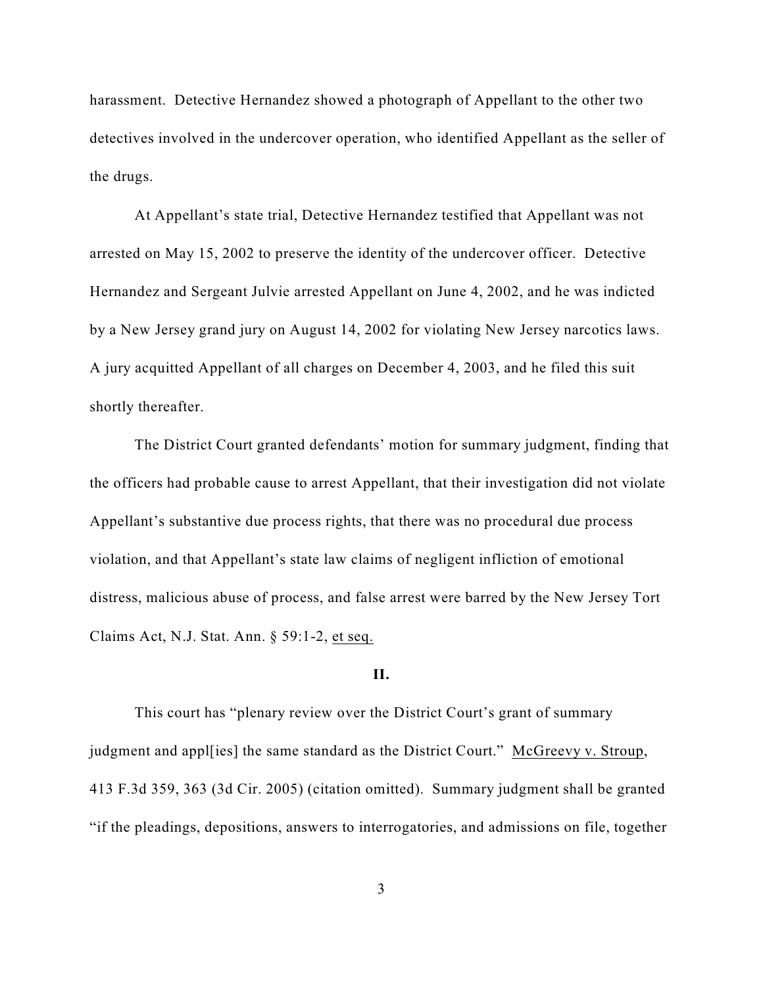harassment. Detective Hernandez showed a photograph of Appellant to the other two detectives involved in the undercover operation, who identified Appellant as the seller of the drugs.

At Appellant's state trial, Detective Hernandez testified that Appellant was not arrested on May 15, 2002 to preserve the identity of the undercover officer. Detective Hernandez and Sergeant Julvie arrested Appellant on June 4, 2002, and he was indicted by a New Jersey grand jury on August 14, 2002 for violating New Jersey narcotics laws. A jury acquitted Appellant of all charges on December 4, 2003, and he filed this suit shortly thereafter.

The District Court granted defendants' motion for summary judgment, finding that the officers had probable cause to arrest Appellant, that their investigation did not violate Appellant's substantive due process rights, that there was no procedural due process violation, and that Appellant's state law claims of negligent infliction of emotional distress, malicious abuse of process, and false arrest were barred by the New Jersey Tort Claims Act, N.J. Stat. Ann. § 59:1-2, et seq.

#### **II.**

This court has "plenary review over the District Court's grant of summary judgment and appl[ies] the same standard as the District Court." McGreevy v. Stroup, 413 F.3d 359, 363 (3d Cir. 2005) (citation omitted). Summary judgment shall be granted "if the pleadings, depositions, answers to interrogatories, and admissions on file, together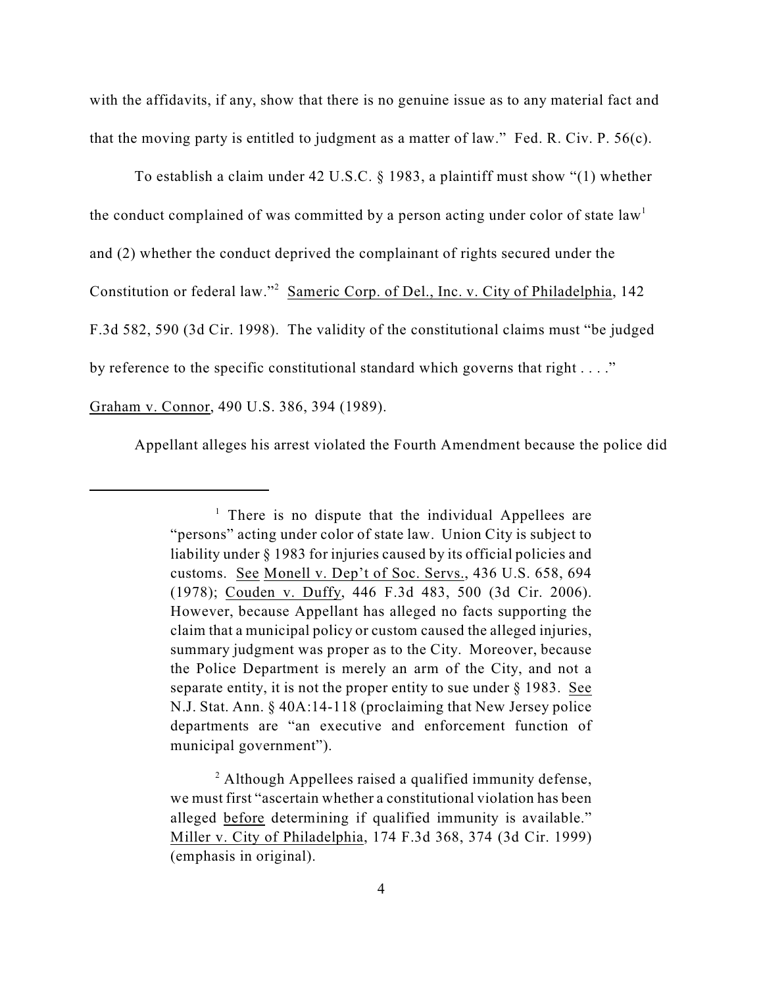with the affidavits, if any, show that there is no genuine issue as to any material fact and that the moving party is entitled to judgment as a matter of law." Fed. R. Civ. P. 56(c).

To establish a claim under 42 U.S.C. § 1983, a plaintiff must show "(1) whether the conduct complained of was committed by a person acting under color of state  $law<sup>1</sup>$ and (2) whether the conduct deprived the complainant of rights secured under the Constitution or federal law."<sup>2</sup> Sameric Corp. of Del., Inc. v. City of Philadelphia, 142 F.3d 582, 590 (3d Cir. 1998). The validity of the constitutional claims must "be judged by reference to the specific constitutional standard which governs that right . . . ." Graham v. Connor, 490 U.S. 386, 394 (1989).

Appellant alleges his arrest violated the Fourth Amendment because the police did

 $\frac{1}{1}$  There is no dispute that the individual Appellees are "persons" acting under color of state law. Union City is subject to liability under § 1983 for injuries caused by its official policies and customs. See Monell v. Dep't of Soc. Servs., 436 U.S. 658, 694 (1978); Couden v. Duffy, 446 F.3d 483, 500 (3d Cir. 2006). However, because Appellant has alleged no facts supporting the claim that a municipal policy or custom caused the alleged injuries, summary judgment was proper as to the City. Moreover, because the Police Department is merely an arm of the City, and not a separate entity, it is not the proper entity to sue under  $\S$  1983. See N.J. Stat. Ann. § 40A:14-118 (proclaiming that New Jersey police departments are "an executive and enforcement function of municipal government").

 $\alpha$ <sup>2</sup> Although Appellees raised a qualified immunity defense, we must first "ascertain whether a constitutional violation has been alleged before determining if qualified immunity is available." Miller v. City of Philadelphia, 174 F.3d 368, 374 (3d Cir. 1999) (emphasis in original).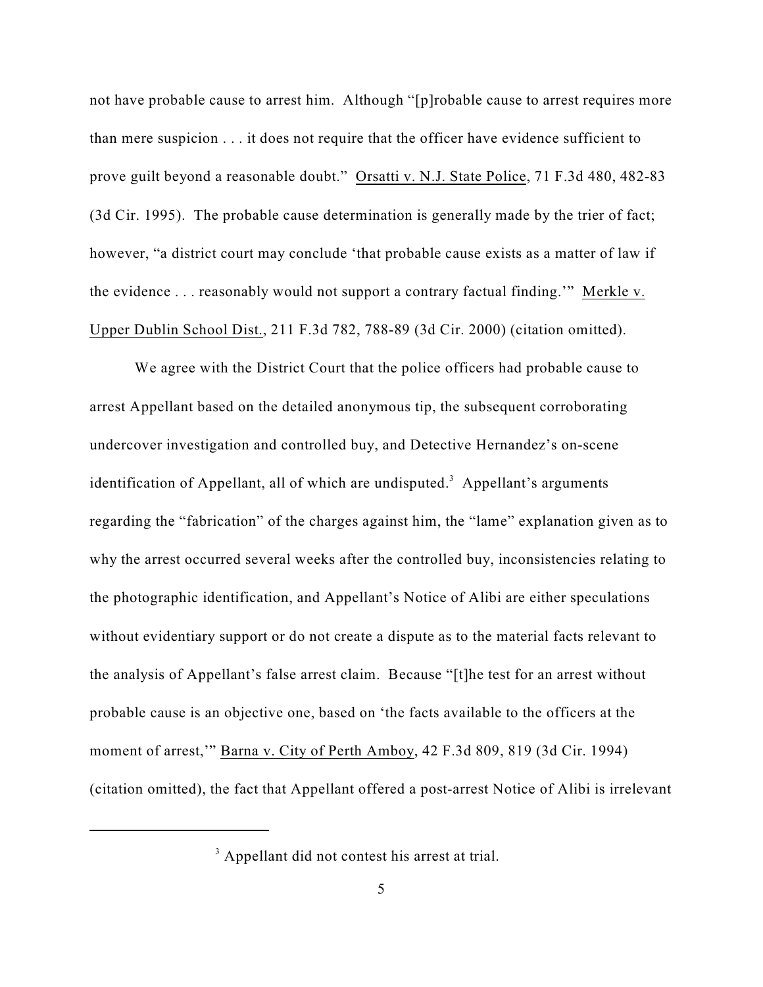not have probable cause to arrest him. Although "[p]robable cause to arrest requires more than mere suspicion . . . it does not require that the officer have evidence sufficient to prove guilt beyond a reasonable doubt." Orsatti v. N.J. State Police, 71 F.3d 480, 482-83 (3d Cir. 1995). The probable cause determination is generally made by the trier of fact; however, "a district court may conclude 'that probable cause exists as a matter of law if the evidence . . . reasonably would not support a contrary factual finding.'" Merkle v. Upper Dublin School Dist., 211 F.3d 782, 788-89 (3d Cir. 2000) (citation omitted).

We agree with the District Court that the police officers had probable cause to arrest Appellant based on the detailed anonymous tip, the subsequent corroborating undercover investigation and controlled buy, and Detective Hernandez's on-scene identification of Appellant, all of which are undisputed.<sup>3</sup> Appellant's arguments regarding the "fabrication" of the charges against him, the "lame" explanation given as to why the arrest occurred several weeks after the controlled buy, inconsistencies relating to the photographic identification, and Appellant's Notice of Alibi are either speculations without evidentiary support or do not create a dispute as to the material facts relevant to the analysis of Appellant's false arrest claim. Because "[t]he test for an arrest without probable cause is an objective one, based on 'the facts available to the officers at the moment of arrest,'" Barna v. City of Perth Amboy, 42 F.3d 809, 819 (3d Cir. 1994) (citation omitted), the fact that Appellant offered a post-arrest Notice of Alibi is irrelevant

 $3$  Appellant did not contest his arrest at trial.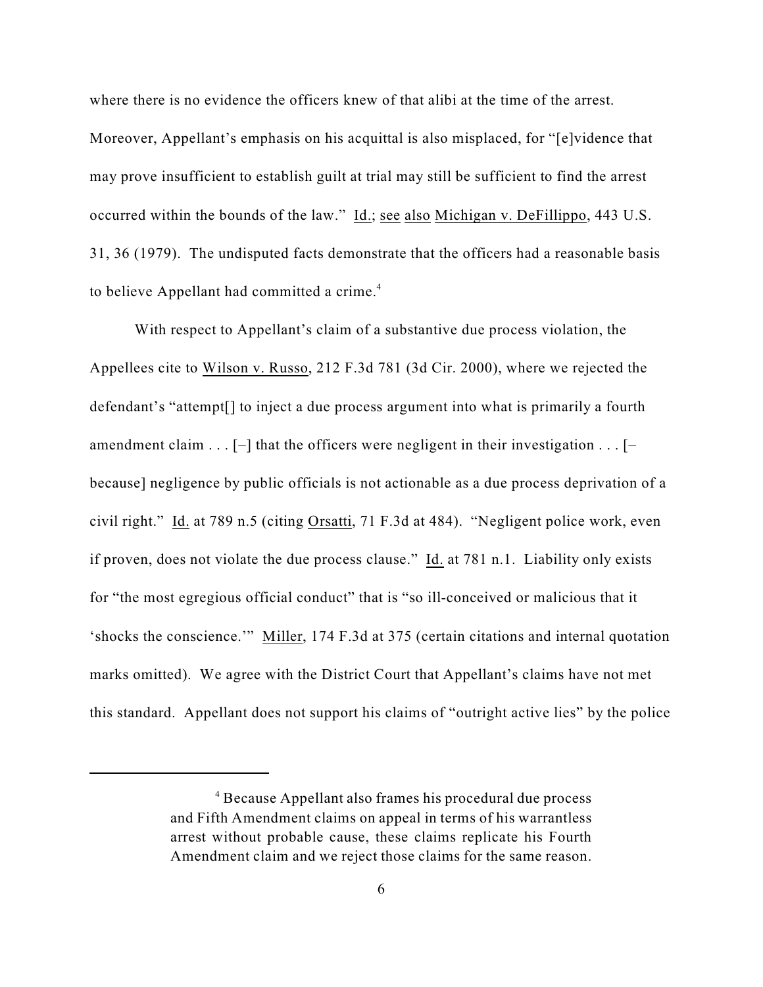where there is no evidence the officers knew of that alibi at the time of the arrest. Moreover, Appellant's emphasis on his acquittal is also misplaced, for "[e]vidence that may prove insufficient to establish guilt at trial may still be sufficient to find the arrest occurred within the bounds of the law." Id.; see also Michigan v. DeFillippo, 443 U.S. 31, 36 (1979). The undisputed facts demonstrate that the officers had a reasonable basis to believe Appellant had committed a crime.<sup>4</sup>

With respect to Appellant's claim of a substantive due process violation, the Appellees cite to Wilson v. Russo, 212 F.3d 781 (3d Cir. 2000), where we rejected the defendant's "attempt[] to inject a due process argument into what is primarily a fourth amendment claim  $\dots$  [-] that the officers were negligent in their investigation  $\dots$  [because] negligence by public officials is not actionable as a due process deprivation of a civil right." Id. at 789 n.5 (citing Orsatti, 71 F.3d at 484). "Negligent police work, even if proven, does not violate the due process clause." Id. at 781 n.1. Liability only exists for "the most egregious official conduct" that is "so ill-conceived or malicious that it 'shocks the conscience.'" Miller, 174 F.3d at 375 (certain citations and internal quotation marks omitted). We agree with the District Court that Appellant's claims have not met this standard. Appellant does not support his claims of "outright active lies" by the police

<sup>&</sup>lt;sup>4</sup> Because Appellant also frames his procedural due process and Fifth Amendment claims on appeal in terms of his warrantless arrest without probable cause, these claims replicate his Fourth Amendment claim and we reject those claims for the same reason.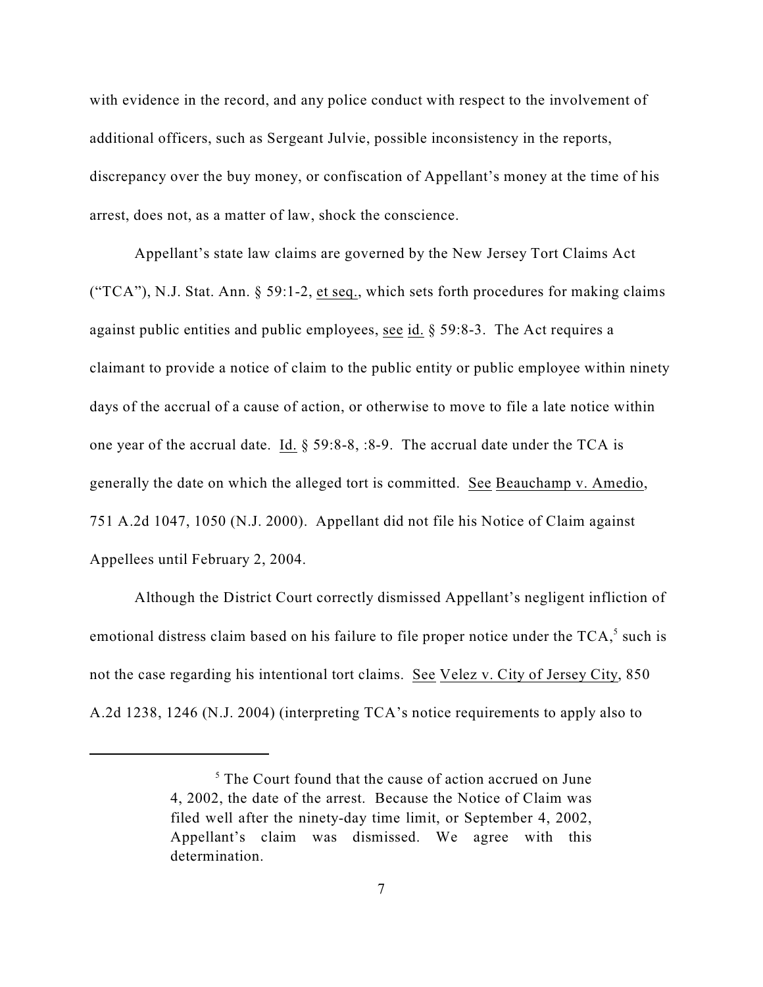with evidence in the record, and any police conduct with respect to the involvement of additional officers, such as Sergeant Julvie, possible inconsistency in the reports, discrepancy over the buy money, or confiscation of Appellant's money at the time of his arrest, does not, as a matter of law, shock the conscience.

Appellant's state law claims are governed by the New Jersey Tort Claims Act ("TCA"), N.J. Stat. Ann.  $\S$  59:1-2, et seq., which sets forth procedures for making claims against public entities and public employees, see id. § 59:8-3. The Act requires a claimant to provide a notice of claim to the public entity or public employee within ninety days of the accrual of a cause of action, or otherwise to move to file a late notice within one year of the accrual date. Id. § 59:8-8, :8-9. The accrual date under the TCA is generally the date on which the alleged tort is committed. See Beauchamp v. Amedio, 751 A.2d 1047, 1050 (N.J. 2000). Appellant did not file his Notice of Claim against Appellees until February 2, 2004.

Although the District Court correctly dismissed Appellant's negligent infliction of emotional distress claim based on his failure to file proper notice under the  $TCA$ ,<sup>5</sup> such is not the case regarding his intentional tort claims. See Velez v. City of Jersey City, 850 A.2d 1238, 1246 (N.J. 2004) (interpreting TCA's notice requirements to apply also to

 $5$  The Court found that the cause of action accrued on June 4, 2002, the date of the arrest. Because the Notice of Claim was filed well after the ninety-day time limit, or September 4, 2002, Appellant's claim was dismissed. We agree with this determination.